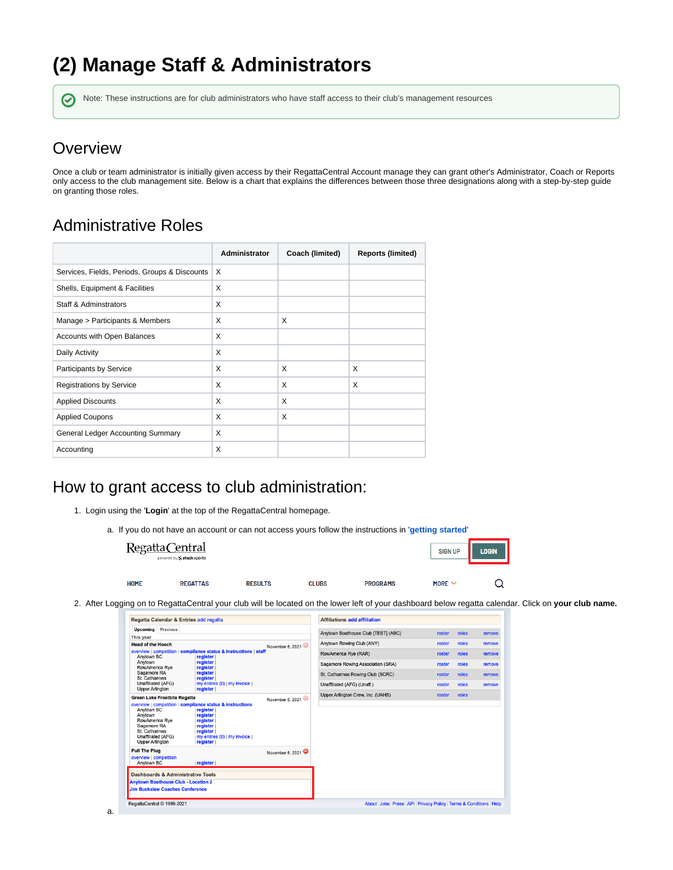# **(2) Manage Staff & Administrators**

の Note: These instructions are for club administrators who have staff access to their club's management resources

#### **Overview**

Once a club or team administrator is initially given access by their RegattaCentral Account manage they can grant other's Administrator, Coach or Reports only access to the club management site. Below is a chart that explains the differences between those three designations along with a step-by-step guide on granting those roles.

### Administrative Roles

|                                               | <b>Administrator</b> | Coach (limited) | <b>Reports (limited)</b> |
|-----------------------------------------------|----------------------|-----------------|--------------------------|
| Services, Fields, Periods, Groups & Discounts | X                    |                 |                          |
| Shells, Equipment & Facilities                | X                    |                 |                          |
| <b>Staff &amp; Adminstrators</b>              | X                    |                 |                          |
| Manage > Participants & Members               | X                    | X               |                          |
| Accounts with Open Balances                   | X                    |                 |                          |
| Daily Activity                                | X                    |                 |                          |
| Participants by Service                       | X                    | X               | X                        |
| <b>Registrations by Service</b>               | X                    | X               | X                        |
| <b>Applied Discounts</b>                      | X                    | X               |                          |
| <b>Applied Coupons</b>                        | X                    | X               |                          |
| General Ledger Accounting Summary             | X                    |                 |                          |
| Accounting                                    | X                    |                 |                          |

#### How to grant access to club administration:

- 1. Login using the '**Login**' at the top of the RegattaCentral homepage.
	- a. If you do not have an account or can not access yours follow the instructions in '**[getting started](https://wiki.regattacentral.com/display/ClubMan/Getting+Started)**'

|      | Regatta Central<br>powered by S stacksports |                |              |                 | <b>SIGN UP</b> | <b>LOGIN</b> |
|------|---------------------------------------------|----------------|--------------|-----------------|----------------|--------------|
| HOME | <b>REGATTAS</b>                             | <b>RESULTS</b> | <b>CLUBS</b> | <b>PROGRAMS</b> | MORE $\vee$    |              |

2. After Logging on to RegattaCentral your club will be located on the lower left of your dashboard below regatta calendar. Click on **your club name.**